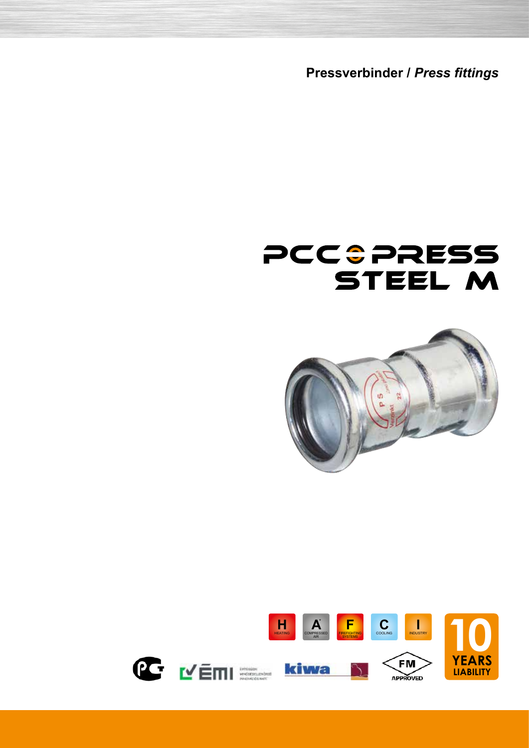**Pressverbinder /** *Press fittings*





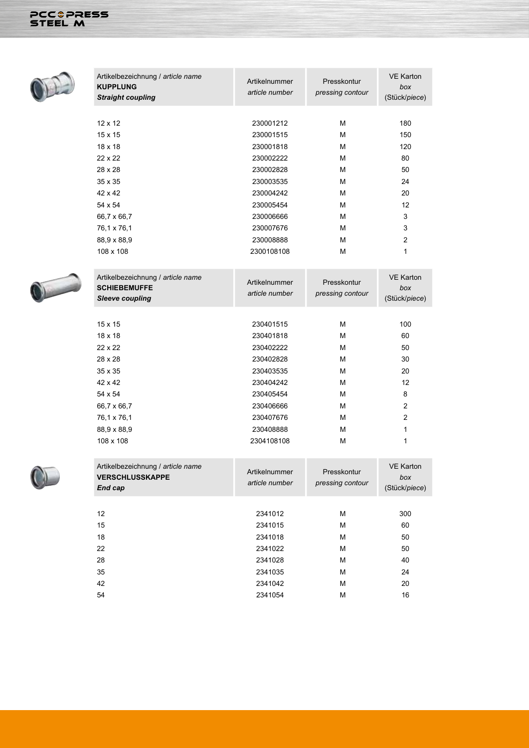



| <b>VERSCHLUSSKAPPE</b><br>End cap | Artikelnummer<br>article number | Presskontur<br>pressing contour | box<br>(Stück/piece) |
|-----------------------------------|---------------------------------|---------------------------------|----------------------|
|                                   |                                 |                                 |                      |
| 12                                | 2341012                         | M                               | 300                  |
| 15                                | 2341015                         | M                               | 60                   |
| 18                                | 2341018                         | M                               | 50                   |
| 22                                | 2341022                         | M                               | 50                   |
| 28                                | 2341028                         | M                               | 40                   |
| 35                                | 2341035                         | M                               | 24                   |
| 42                                | 2341042                         | M                               | 20                   |
| 54                                | 2341054                         | M                               | 16                   |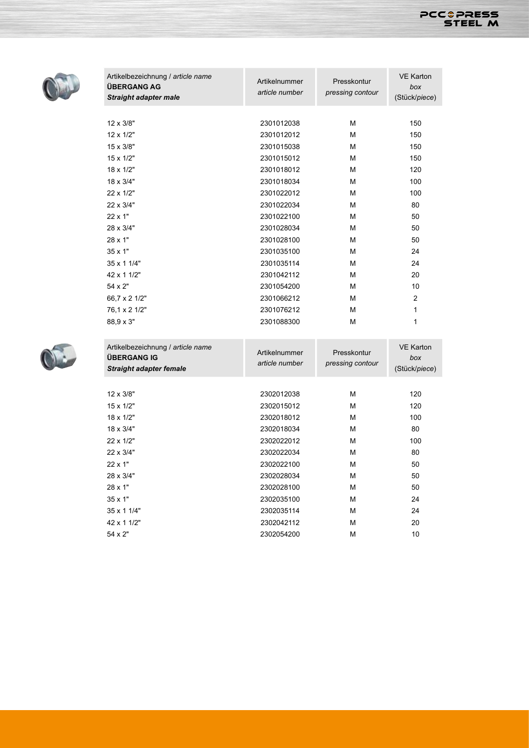



| Artikelbezeichnung / article name<br><b>ÜBERGANG AG</b><br><b>Straight adapter male</b> | Artikelnummer<br>article number | Presskontur<br>pressing contour | <b>VE Karton</b><br>box<br>(Stück/piece) |
|-----------------------------------------------------------------------------------------|---------------------------------|---------------------------------|------------------------------------------|
|                                                                                         |                                 |                                 |                                          |
| 12 x 3/8"                                                                               | 2301012038                      | M                               | 150                                      |
| $12 \times 1/2"$                                                                        | 2301012012                      | M                               | 150                                      |
| 15 x 3/8"                                                                               | 2301015038                      | М                               | 150                                      |
| $15 \times 1/2"$                                                                        | 2301015012                      | М                               | 150                                      |
| 18 x 1/2"                                                                               | 2301018012                      | м                               | 120                                      |
| 18 x 3/4"                                                                               | 2301018034                      | М                               | 100                                      |
| 22 x 1/2"                                                                               | 2301022012                      | м                               | 100                                      |
| 22 x 3/4"                                                                               | 2301022034                      | M                               | 80                                       |
| 22 x 1"                                                                                 | 2301022100                      | M                               | 50                                       |
| 28 x 3/4"                                                                               | 2301028034                      | М                               | 50                                       |
| 28 x 1"                                                                                 | 2301028100                      | M                               | 50                                       |
| 35 x 1"                                                                                 | 2301035100                      | М                               | 24                                       |
| 35 x 1 1/4"                                                                             | 2301035114                      | М                               | 24                                       |
| 42 x 1 1/2"                                                                             | 2301042112                      | M                               | 20                                       |
| 54 x 2"                                                                                 | 2301054200                      | М                               | 10                                       |
| 66,7 x 2 1/2"                                                                           | 2301066212                      | М                               | $\overline{2}$                           |
| 76,1 x 2 1/2"                                                                           | 2301076212                      | M                               | 1                                        |
| 88,9 x 3"                                                                               | 2301088300                      | М                               | 1                                        |
| Artikelbezeichnung / article name                                                       | Artikelnummer                   | Presskontur                     | <b>VE Karton</b>                         |
| <b>ÜBERGANG IG</b>                                                                      | article number                  | pressing contour                | box                                      |
| <b>Straight adapter female</b>                                                          |                                 |                                 | (Stück/piece)                            |
| 12 x 3/8"                                                                               | 2302012038                      | М                               | 120                                      |
| 15 x 1/2"                                                                               | 2302015012                      | М                               | 120                                      |
| 18 x 1/2"                                                                               | 2302018012                      | M                               | 100                                      |
| 18 x 3/4"                                                                               | 2302018034                      | М                               | 80                                       |
|                                                                                         |                                 |                                 |                                          |

22 x 1/2" 2302022012 M 100 22 x 3/4" 2302022034 M 80 22 x 1" 2302022100 M 50 28 x 3/4" 2302028034 M 50 28 x 1" 2302028100 M 50 35 x 1" 2302035100 M 24 35 x 1 1/4" 2302035114 M 24 42 x 1 1/2" 2302042112 M 20 54 x 2" 2302054200 M 10

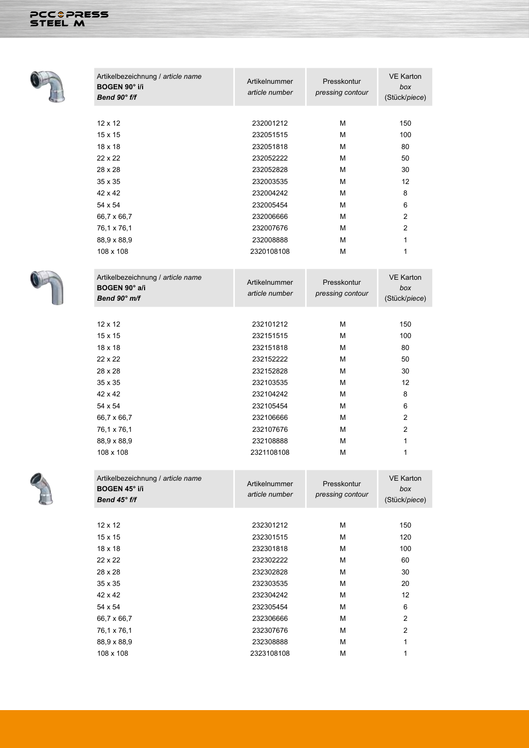## PCCOPRESS



| Artikelbezeichnung / article name    | Artikelnummer  | Presskontur      | <b>VE Karton</b>     |
|--------------------------------------|----------------|------------------|----------------------|
| <b>BOGEN 90° i/i</b><br>Bend 90° f/f | article number | pressing contour | box<br>(Stück/piece) |
|                                      |                |                  |                      |
| $12 \times 12$                       | 232001212      | М                | 150                  |
| $15 \times 15$                       | 232051515      | М                | 100                  |
| $18 \times 18$                       | 232051818      | М                | 80                   |
| 22 x 22                              | 232052222      | М                | 50                   |
| 28 x 28                              | 232052828      | М                | 30                   |
| $35 \times 35$                       | 232003535      | М                | 12                   |
| 42 x 42                              | 232004242      | М                | 8                    |
| 54 x 54                              | 232005454      | М                | 6                    |
| 66,7 x 66,7                          | 232006666      | М                | $\overline{2}$       |
| 76,1 x 76,1                          | 232007676      | М                | $\overline{2}$       |
| 88,9 x 88,9                          | 232008888      | М                | 1                    |
| 108 x 108                            | 2320108108     | М                | 1                    |
|                                      |                |                  |                      |
| Artikelbezeichnung / article name    |                |                  | <b>VE Karton</b>     |
| BOGEN 90° a/i                        | Artikelnummer  | Presskontur      | box                  |
| Bend 90° m/f                         | article number | pressing contour | (Stück/piece)        |
|                                      |                |                  |                      |
| $12 \times 12$                       | 232101212      | м                | 150                  |
| $15 \times 15$                       | 232151515      | М                | 100                  |
| $18 \times 18$                       | 232151818      | М                | 80                   |
| $22 \times 22$                       | 232152222      | М                | 50                   |
| 28 x 28                              | 232152828      | М                | 30                   |
| $35 \times 35$                       | 232103535      | М                | 12                   |
| 42 x 42                              | 232104242      | М                | 8                    |
| 54 x 54                              | 232105454      | М                | 6                    |
| 66,7 x 66,7                          | 232106666      | М                | $\overline{c}$       |
| 76,1 x 76,1                          | 232107676      | М                | $\overline{2}$       |
| 88,9 x 88,9                          | 232108888      | М                | 1                    |
| 108 x 108                            | 2321108108     | М                | 1                    |
| Artikelbezeichnung / article name    |                |                  | <b>VE Karton</b>     |
| <b>BOGEN 45° i/i</b>                 | Artikelnummer  | Presskontur      | box                  |
| Bend 45° f/f                         | article number | pressing contour | (Stück/piece)        |
|                                      |                |                  |                      |
| $12 \times 12$                       | 232301212      | М                | 150                  |
| $15 \times 15$                       | 232301515      | М                | 120                  |
| $18 \times 18$                       | 232301818      | М                | 100                  |
| 22 x 22                              | 232302222      | Μ                | 60                   |
| 28 x 28                              | 232302828      | Μ                | 30                   |
| 35 x 35                              | 232303535      | Μ                | 20                   |
| 42 x 42                              | 232304242      | Μ                | 12                   |
| 54 x 54                              | 232305454      | М                | 6                    |
| 66,7 x 66,7                          | 232306666      | Μ                | 2                    |
| 76,1 x 76,1                          | 232307676      | Μ                | $\overline{c}$       |
| 88,9 x 88,9                          | 232308888      | Μ                | 1                    |

2323108108

 $M$ 

 $\overline{1}$ 





108 x 108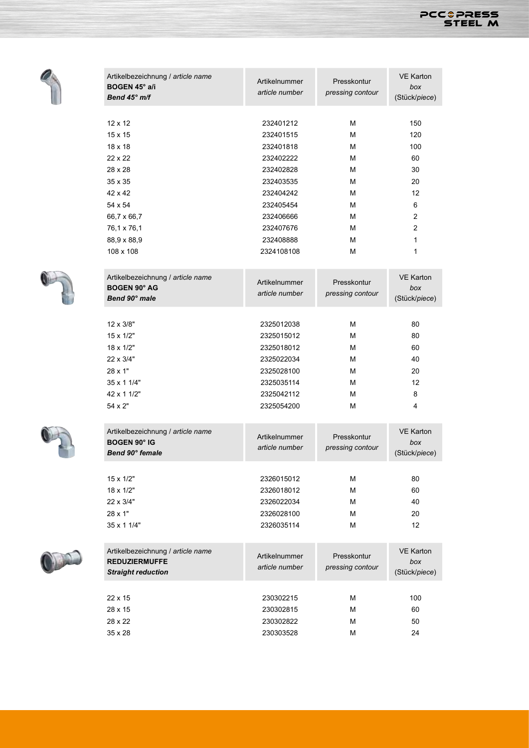

| Artikelbezeichnung / article name<br>BOGEN 45° a/i<br>Bend 45° m/f                                                                                                         | Artikelnummer<br>article number                                                                                                                           | Presskontur<br>pressing contour                          | <b>VE Karton</b><br>box<br>(Stück/piece)                           |
|----------------------------------------------------------------------------------------------------------------------------------------------------------------------------|-----------------------------------------------------------------------------------------------------------------------------------------------------------|----------------------------------------------------------|--------------------------------------------------------------------|
| $12 \times 12$<br>$15 \times 15$<br>$18 \times 18$<br>22 x 22<br>28 x 28<br>$35 \times 35$<br>42 x 42<br>54 x 54<br>66,7 x 66,7<br>76,1 x 76,1<br>88,9 x 88,9<br>108 x 108 | 232401212<br>232401515<br>232401818<br>232402222<br>232402828<br>232403535<br>232404242<br>232405454<br>232406666<br>232407676<br>232408888<br>2324108108 | м<br>м<br>м<br>м<br>м<br>м<br>м<br>м<br>м<br>м<br>м<br>м | 150<br>120<br>100<br>60<br>30<br>20<br>12<br>6<br>2<br>2<br>1<br>1 |
| Artikelbezeichnung / article name<br><b>BOGEN 90° AG</b><br>Bend 90° male                                                                                                  | Artikelnummer<br>article number                                                                                                                           | Presskontur<br>pressing contour                          | <b>VE Karton</b><br>box<br>(Stück/piece)                           |
| $12 \times 3/8"$<br>$15 \times 1/2"$<br>18 x 1/2"<br>22 x 3/4"<br>$28 \times 1"$<br>35 x 1 1/4"<br>42 x 1 1/2"<br>54 x 2"                                                  | 2325012038<br>2325015012<br>2325018012<br>2325022034<br>2325028100<br>2325035114<br>2325042112<br>2325054200                                              | м<br>м<br>м<br>м<br>м<br>м<br>м<br>м                     | 80<br>80<br>60<br>40<br>20<br>12<br>8<br>4                         |
| Artikelbezeichnung / article name<br><b>BOGEN 90° IG</b><br>Bend 90° female                                                                                                | Artikelnummer<br>article number                                                                                                                           | Presskontur<br>pressing contour                          | <b>VE Karton</b><br>box<br>(Stück/piece)                           |
| $15 \times 1/2"$<br>18 x 1/2"<br>22 x 3/4"<br>$28 \times 1"$<br>35 x 1 1/4"                                                                                                | 2326015012<br>2326018012<br>2326022034<br>2326028100<br>2326035114                                                                                        | М<br>м<br>м<br>м<br>м                                    | 80<br>60<br>40<br>20<br>12 <sup>°</sup>                            |
| Artikelbezeichnung / article name<br><b>REDUZIERMUFFE</b><br><b>Straight reduction</b>                                                                                     | Artikelnummer<br>article number                                                                                                                           | Presskontur<br>pressing contour                          | <b>VE Karton</b><br>box<br>(Stück/piece)                           |
| 22 x 15<br>28 x 15<br>28 x 22<br>35 x 28                                                                                                                                   | 230302215<br>230302815<br>230302822<br>230303528                                                                                                          | м<br>м<br>м<br>м                                         | 100<br>60<br>50<br>24                                              |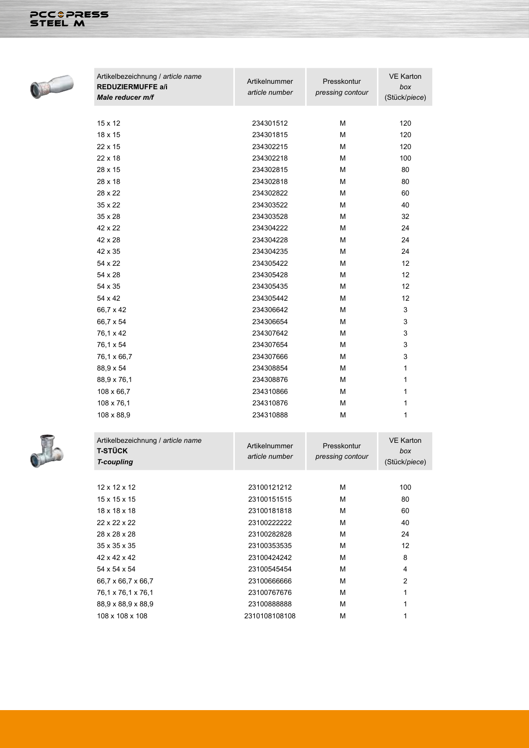

| Artikelbezeichnung / article name<br><b>REDUZIERMUFFE a/i</b><br><b>Male reducer m/f</b> | Artikelnummer<br>article number | Presskontur<br>pressing contour | <b>VE Karton</b><br>box<br>(Stück/piece) |
|------------------------------------------------------------------------------------------|---------------------------------|---------------------------------|------------------------------------------|
|                                                                                          |                                 |                                 |                                          |
| 15 x 12                                                                                  | 234301512                       | М                               | 120                                      |
| 18 x 15                                                                                  | 234301815                       | M                               | 120                                      |
| 22 x 15                                                                                  | 234302215                       | M                               | 120                                      |
| 22 x 18                                                                                  | 234302218                       | М                               | 100                                      |
| 28 x 15                                                                                  | 234302815                       | М                               | 80                                       |
| $28 \times 18$                                                                           | 234302818                       | M                               | 80                                       |
| 28 x 22                                                                                  | 234302822                       | М                               | 60                                       |
| $35 \times 22$                                                                           | 234303522                       | M                               | 40                                       |
| 35 x 28                                                                                  | 234303528                       | М                               | 32                                       |
| 42 x 22                                                                                  | 234304222                       | M                               | 24                                       |
| 42 x 28                                                                                  | 234304228                       | M                               | 24                                       |
| 42 x 35                                                                                  | 234304235                       | М                               | 24                                       |
| 54 x 22                                                                                  | 234305422                       | М                               | 12                                       |
| 54 x 28                                                                                  | 234305428                       | М                               | 12                                       |
| 54 x 35                                                                                  | 234305435                       | M                               | 12                                       |
| 54 x 42                                                                                  | 234305442                       | M                               | 12                                       |
| 66,7 x 42                                                                                | 234306642                       | М                               | 3                                        |
| 66,7 x 54                                                                                | 234306654                       | М                               | 3                                        |
| 76,1 x 42                                                                                | 234307642                       | M                               | 3                                        |
| 76,1 x 54                                                                                | 234307654                       | M                               | 3                                        |
| 76,1 x 66,7                                                                              | 234307666                       | M                               | 3                                        |
| 88,9 x 54                                                                                | 234308854                       | M                               | 1                                        |
| 88,9 x 76,1                                                                              | 234308876                       | М                               | 1                                        |
| 108 x 66,7                                                                               | 234310866                       | M                               | 1                                        |
| 108 x 76,1                                                                               | 234310876                       | М                               | 1                                        |
| 108 x 88,9                                                                               | 234310888                       | М                               | 1                                        |
|                                                                                          |                                 |                                 |                                          |



| Artikelbezeichnung / article name<br><b>T-STÜCK</b><br><b>T-coupling</b> | Artikelnummer<br>article number | Presskontur<br>pressing contour | <b>VE Karton</b><br>box<br>(Stück/piece) |
|--------------------------------------------------------------------------|---------------------------------|---------------------------------|------------------------------------------|
|                                                                          |                                 |                                 |                                          |
| $12 \times 12 \times 12$                                                 | 23100121212                     | м                               | 100                                      |
| $15 \times 15 \times 15$                                                 | 23100151515                     | м                               | 80                                       |
| 18 x 18 x 18                                                             | 23100181818                     | м                               | 60                                       |
| 22 x 22 x 22                                                             | 23100222222                     | м                               | 40                                       |
| 28 x 28 x 28                                                             | 23100282828                     | M                               | 24                                       |
| $35 \times 35 \times 35$                                                 | 23100353535                     | м                               | 12                                       |
| 42 x 42 x 42                                                             | 23100424242                     | м                               | 8                                        |
| 54 x 54 x 54                                                             | 23100545454                     | М                               | 4                                        |
| 66,7 x 66,7 x 66,7                                                       | 23100666666                     | M                               | 2                                        |
| 76,1 x 76,1 x 76,1                                                       | 23100767676                     | м                               | 1                                        |
| 88,9 x 88,9 x 88,9                                                       | 23100888888                     | м                               | 1                                        |
| 108 x 108 x 108                                                          | 2310108108108                   | М                               |                                          |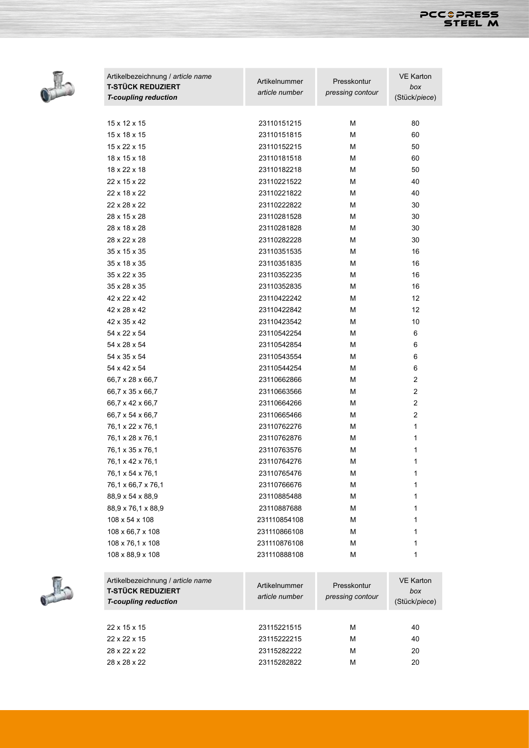



| Artikelbezeichnung / article name<br><b>T-STÜCK REDUZIERT</b> | Artikelnummer  | Presskontur      | <b>VE Karton</b><br>box |
|---------------------------------------------------------------|----------------|------------------|-------------------------|
| <b>T-coupling reduction</b>                                   | article number | pressing contour | (Stück/piece)           |
|                                                               |                |                  |                         |
| 15 x 12 x 15                                                  | 23110151215    | М                | 80                      |
| $15 \times 18 \times 15$                                      | 23110151815    | M                | 60                      |
| 15 x 22 x 15                                                  |                | М                |                         |
|                                                               | 23110152215    |                  | 50                      |
| 18 x 15 x 18                                                  | 23110181518    | M                | 60                      |
| 18 x 22 x 18                                                  | 23110182218    | М                | 50                      |
| 22 x 15 x 22                                                  | 23110221522    | M                | 40                      |
| 22 x 18 x 22                                                  | 23110221822    | M                | 40                      |
| 22 x 28 x 22                                                  | 23110222822    | М                | 30                      |
| 28 x 15 x 28                                                  | 23110281528    | М                | 30                      |
| 28 x 18 x 28                                                  | 23110281828    | М                | 30                      |
| 28 x 22 x 28                                                  | 23110282228    | М                | 30                      |
| 35 x 15 x 35                                                  | 23110351535    | М                | 16                      |
| 35 x 18 x 35                                                  | 23110351835    | М                | 16                      |
| 35 x 22 x 35                                                  | 23110352235    | М                | 16                      |
| 35 x 28 x 35                                                  | 23110352835    | М                | 16                      |
| 42 x 22 x 42                                                  | 23110422242    | М                | 12                      |
| 42 x 28 x 42                                                  | 23110422842    | М                | 12                      |
| 42 x 35 x 42                                                  | 23110423542    | М                | 10                      |
| 54 x 22 x 54                                                  | 23110542254    | М                | 6                       |
| 54 x 28 x 54                                                  | 23110542854    | М                | 6                       |
| 54 x 35 x 54                                                  | 23110543554    | М                | 6                       |
| 54 x 42 x 54                                                  | 23110544254    | М                | 6                       |
| 66,7 x 28 x 66,7                                              | 23110662866    | М                | $\overline{c}$          |
| 66,7 x 35 x 66,7                                              | 23110663566    | М                | 2                       |
| 66,7 x 42 x 66,7                                              | 23110664266    | М                | 2                       |
| 66,7 x 54 x 66,7                                              | 23110665466    | М                | $\overline{2}$          |
| 76,1 x 22 x 76,1                                              | 23110762276    | М                | 1                       |
| 76,1 x 28 x 76,1                                              | 23110762876    | М                | 1                       |
| 76,1 x 35 x 76,1                                              | 23110763576    | М                | 1                       |
| 76,1 x 42 x 76,1                                              | 23110764276    | М                | 1                       |
| 76,1 x 54 x 76,1                                              | 23110765476    | М                | 1                       |
| 76,1 x 66,7 x 76,1                                            | 23110766676    | М                | 1                       |
| 88,9 x 54 x 88,9                                              | 23110885488    | М                | 1                       |
| 88,9 x 76,1 x 88,9                                            | 23110887688    | М                | 1                       |
| 108 x 54 x 108                                                | 231110854108   | М                | 1                       |
|                                                               | 231110866108   |                  |                         |
| 108 x 66,7 x 108                                              |                | М                | 1                       |
| 108 x 76,1 x 108                                              | 231110876108   | М                | 1                       |
| 108 x 88,9 x 108                                              | 231110888108   | М                | 1                       |
|                                                               |                |                  |                         |
| Artikelbezeichnung / article name                             | Artikelnummer  | Presskontur      | <b>VE Karton</b>        |
| <b>T-STÜCK REDUZIERT</b>                                      | article number | pressing contour | box                     |
| <b>T-coupling reduction</b>                                   |                |                  | (Stück/piece)           |
|                                                               |                |                  |                         |



| Artikelbezeichnung / article hame<br><b>T-STÜCK REDUZIERT</b><br><b>T-coupling reduction</b> | Artikelnummer<br>article number | Presskontur<br>pressing contour | VE Karton<br>box<br>(Stück/piece |
|----------------------------------------------------------------------------------------------|---------------------------------|---------------------------------|----------------------------------|
|                                                                                              |                                 |                                 |                                  |
| $22 \times 15 \times 15$                                                                     | 23115221515                     | M                               | 40                               |
| 22 x 22 x 15                                                                                 | 23115222215                     | M                               | 40                               |
| 28 x 22 x 22                                                                                 | 23115282222                     | M                               | 20                               |
| 28 x 28 x 22                                                                                 | 23115282822                     | M                               | 20                               |
|                                                                                              |                                 |                                 |                                  |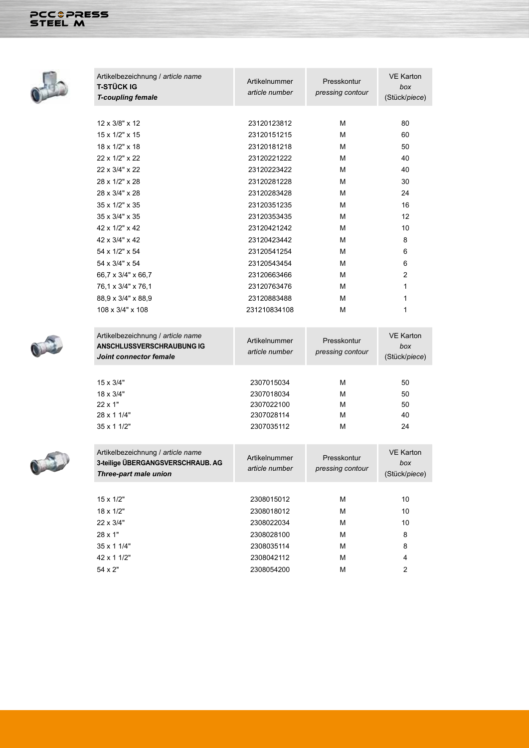## PCC&PRESS



| Artikelbezeichnung / article name<br><b>T-STÜCK IG</b> | Artikelnummer                   | Presskontur      | <b>VE Karton</b><br>box |
|--------------------------------------------------------|---------------------------------|------------------|-------------------------|
| <b>T-coupling female</b>                               | article number                  | pressing contour | (Stück/piece)           |
|                                                        |                                 |                  |                         |
| 12 x 3/8" x 12                                         | 23120123812                     | М                | 80                      |
| 15 x 1/2" x 15                                         | 23120151215                     | M                | 60                      |
| 18 x 1/2" x 18                                         | 23120181218                     | M                | 50                      |
| 22 x 1/2" x 22                                         | 23120221222                     | М                | 40                      |
| 22 x 3/4" x 22                                         | 23120223422                     | М                | 40                      |
| 28 x 1/2" x 28                                         | 23120281228                     | M                | 30                      |
| 28 x 3/4" x 28                                         | 23120283428                     | М                | 24                      |
| 35 x 1/2" x 35                                         | 23120351235                     | М                | 16                      |
| 35 x 3/4" x 35                                         | 23120353435                     | М                | 12                      |
| 42 x 1/2" x 42                                         | 23120421242                     | М                | 10                      |
| 42 x 3/4" x 42                                         | 23120423442                     | M                | 8                       |
| 54 x 1/2" x 54                                         | 23120541254                     | М                | 6                       |
| 54 x 3/4" x 54                                         | 23120543454                     | M                | 6                       |
| 66,7 x 3/4" x 66,7                                     | 23120663466                     | М                | $\overline{c}$          |
| 76,1 x 3/4" x 76,1                                     | 23120763476                     | М                | 1                       |
| 88,9 x 3/4" x 88,9                                     | 23120883488                     | М                | 1                       |
| 108 x 3/4" x 108                                       | 231210834108                    | M                | 1                       |
|                                                        |                                 |                  |                         |
| Artikelbezeichnung / article name                      |                                 |                  | <b>VE Karton</b>        |
| <b>ANSCHLUSSVERSCHRAUBUNG IG</b>                       | Artikelnummer<br>article number | Presskontur      | box                     |
| Joint connector female                                 |                                 | pressing contour | (Stück/piece)           |
|                                                        |                                 |                  |                         |
| 15 x 3/4"                                              | 2307015034                      | М                | 50                      |
| 18 x 3/4"                                              | 2307018034                      | M                | 50                      |
| 22 x 1"                                                | 2307022100                      | М                | 50                      |
| 28 x 1 1/4"                                            | 2307028114                      | M                | 40                      |
| 35 x 1 1/2"                                            | 2307035112                      | M                | 24                      |
|                                                        |                                 |                  |                         |
| Artikelbezeichnung / article name                      | Artikelnummer                   | Presskontur      | <b>VE Karton</b>        |
| 3-teilige ÜBERGANGSVERSCHRAUB. AG                      | article number                  | pressing contour | box                     |
| Three-part male union                                  |                                 |                  | (Stück/piece)           |
|                                                        |                                 |                  |                         |
| 15 x 1/2"                                              | 2308015012                      | М                | 10                      |
| 18 x 1/2"                                              | 2308018012                      | М                | 10                      |
| 22 x 3/4"                                              | 2308022034                      | М                | 10                      |
| 28 x 1"                                                | 2308028100                      | М                | 8                       |
| 35 x 1 1/4"                                            | 2308035114                      | М                | 8                       |
| 42 x 1 1/2"                                            | 2308042112                      | М                | 4                       |
| 54 x 2"                                                | 2308054200                      | М                | 2                       |



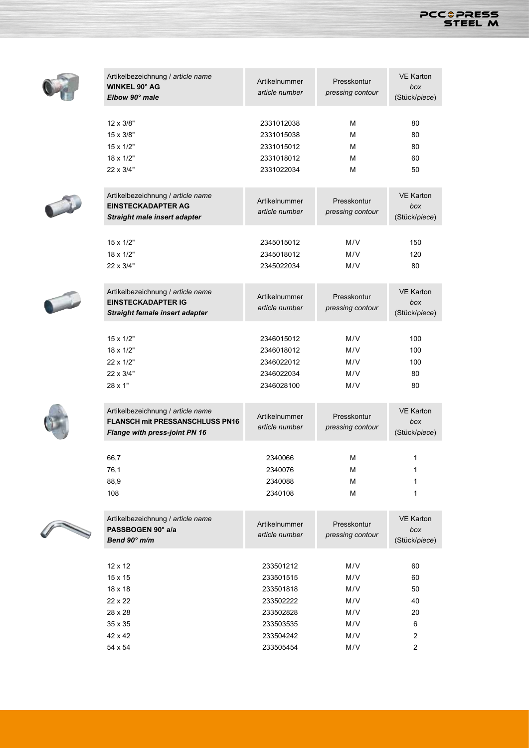

|                                                                                                                                                                                                                                      | Artikelbezeichnung / article name<br><b>WINKEL 90° AG</b><br>Elbow 90° male                                  | Artikelnummer<br>article number                                                                      | Presskontur<br>pressing contour                      | <b>VE Karton</b><br>box<br>(Stück/piece)                        |
|--------------------------------------------------------------------------------------------------------------------------------------------------------------------------------------------------------------------------------------|--------------------------------------------------------------------------------------------------------------|------------------------------------------------------------------------------------------------------|------------------------------------------------------|-----------------------------------------------------------------|
|                                                                                                                                                                                                                                      | 12 x 3/8"<br>15 x 3/8"<br>15 x 1/2"<br>18 x 1/2"<br>22 x 3/4"                                                | 2331012038<br>2331015038<br>2331015012<br>2331018012<br>2331022034                                   | M<br>М<br>М<br>М<br>М                                | 80<br>80<br>80<br>60<br>50                                      |
|                                                                                                                                                                                                                                      | Artikelbezeichnung / article name<br><b>EINSTECKADAPTER AG</b><br>Straight male insert adapter               | Artikelnummer<br>article number                                                                      | Presskontur<br>pressing contour                      | <b>VE Karton</b><br>box<br>(Stück/piece)                        |
|                                                                                                                                                                                                                                      | 15 x 1/2"<br>18 x 1/2"<br>22 x 3/4"                                                                          | 2345015012<br>2345018012<br>2345022034                                                               | M/V<br>M/V<br>M/V                                    | 150<br>120<br>80                                                |
|                                                                                                                                                                                                                                      | Artikelbezeichnung / article name<br><b>EINSTECKADAPTER IG</b><br>Straight female insert adapter             | Artikelnummer<br>article number                                                                      | Presskontur<br>pressing contour                      | <b>VE Karton</b><br>box<br>(Stück/piece)                        |
|                                                                                                                                                                                                                                      | 15 x 1/2"<br>$18 \times 1/2"$<br>22 x 1/2"<br>22 x 3/4"<br>28 x 1"                                           | 2346015012<br>2346018012<br>2346022012<br>2346022034<br>2346028100                                   | M/V<br>M/V<br>M/V<br>M/V<br>M/V                      | 100<br>100<br>100<br>80<br>80                                   |
|                                                                                                                                                                                                                                      | Artikelbezeichnung / article name<br><b>FLANSCH mit PRESSANSCHLUSS PN16</b><br>Flange with press-joint PN 16 | Artikelnummer<br>article number                                                                      | Presskontur<br>pressing contour                      | <b>VE Karton</b><br>box<br>(Stück/piece)                        |
|                                                                                                                                                                                                                                      | 66,7<br>76,1<br>88,9<br>108                                                                                  | 2340066<br>2340076<br>2340088<br>2340108                                                             | М<br>M<br>M<br>M                                     | 1<br>1<br>1                                                     |
| <b>Contract on the Contract of the Contract of The Contract of The Contract of The Contract of The Contract of The Contract of The Contract of The Contract of The Contract of The Contract of The Contract of The Contract of T</b> | Artikelbezeichnung / article name<br>PASSBOGEN 90° a/a<br>Bend 90° m/m                                       | Artikelnummer<br>article number                                                                      | Presskontur<br>pressing contour                      | <b>VE Karton</b><br>box<br>(Stück/piece)                        |
|                                                                                                                                                                                                                                      | 12 x 12<br>15 x 15<br>18 x 18<br>22 x 22<br>28 x 28<br>35 x 35<br>42 x 42<br>54 x 54                         | 233501212<br>233501515<br>233501818<br>233502222<br>233502828<br>233503535<br>233504242<br>233505454 | M/V<br>M/V<br>M/V<br>M/V<br>M/V<br>M/V<br>M/V<br>M/V | 60<br>60<br>50<br>40<br>20<br>6<br>2<br>$\overline{\mathbf{c}}$ |